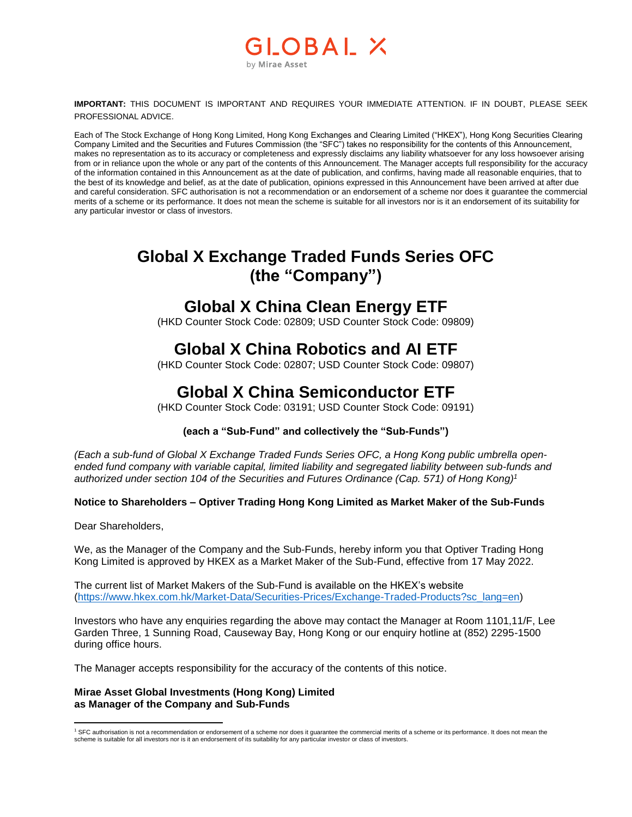### OBAL X by Mirae Asset

**IMPORTANT:** THIS DOCUMENT IS IMPORTANT AND REQUIRES YOUR IMMEDIATE ATTENTION. IF IN DOUBT, PLEASE SEEK PROFESSIONAL ADVICE.

Each of The Stock Exchange of Hong Kong Limited, Hong Kong Exchanges and Clearing Limited ("HKEX"), Hong Kong Securities Clearing Company Limited and the Securities and Futures Commission (the "SFC") takes no responsibility for the contents of this Announcement, makes no representation as to its accuracy or completeness and expressly disclaims any liability whatsoever for any loss howsoever arising from or in reliance upon the whole or any part of the contents of this Announcement. The Manager accepts full responsibility for the accuracy of the information contained in this Announcement as at the date of publication, and confirms, having made all reasonable enquiries, that to the best of its knowledge and belief, as at the date of publication, opinions expressed in this Announcement have been arrived at after due and careful consideration. SFC authorisation is not a recommendation or an endorsement of a scheme nor does it guarantee the commercial merits of a scheme or its performance. It does not mean the scheme is suitable for all investors nor is it an endorsement of its suitability for any particular investor or class of investors.

# **Global X Exchange Traded Funds Series OFC (the "Company")**

### **Global X China Clean Energy ETF**

(HKD Counter Stock Code: 02809; USD Counter Stock Code: 09809)

# **Global X China Robotics and AI ETF**

(HKD Counter Stock Code: 02807; USD Counter Stock Code: 09807)

## **Global X China Semiconductor ETF**

(HKD Counter Stock Code: 03191; USD Counter Stock Code: 09191)

### **(each a "Sub-Fund" and collectively the "Sub-Funds")**

*(Each a sub-fund of Global X Exchange Traded Funds Series OFC, a Hong Kong public umbrella openended fund company with variable capital, limited liability and segregated liability between sub-funds and authorized under section 104 of the Securities and Futures Ordinance (Cap. 571) of Hong Kong) 1*

#### **Notice to Shareholders – Optiver Trading Hong Kong Limited as Market Maker of the Sub-Funds**

Dear Shareholders,

We, as the Manager of the Company and the Sub-Funds, hereby inform you that Optiver Trading Hong Kong Limited is approved by HKEX as a Market Maker of the Sub-Fund, effective from 17 May 2022.

The current list of Market Makers of the Sub-Fund is available on the HKEX's website [\(https://www.hkex.com.hk/Market-Data/Securities-Prices/Exchange-Traded-Products?sc\\_lang=en\)](https://www.hkex.com.hk/Market-Data/Securities-Prices/Exchange-Traded-Products?sc_lang=en)

Investors who have any enquiries regarding the above may contact the Manager at Room 1101,11/F, Lee Garden Three, 1 Sunning Road, Causeway Bay, Hong Kong or our enquiry hotline at (852) 2295-1500 during office hours.

The Manager accepts responsibility for the accuracy of the contents of this notice.

#### **Mirae Asset Global Investments (Hong Kong) Limited as Manager of the Company and Sub-Funds**

 $\overline{a}$ <sup>1</sup> SFC authorisation is not a recommendation or endorsement of a scheme nor does it guarantee the commercial merits of a scheme or its performance. It does not mean the scheme is suitable for all investors nor is it an endorsement of its suitability for any particular investor or class of investors.